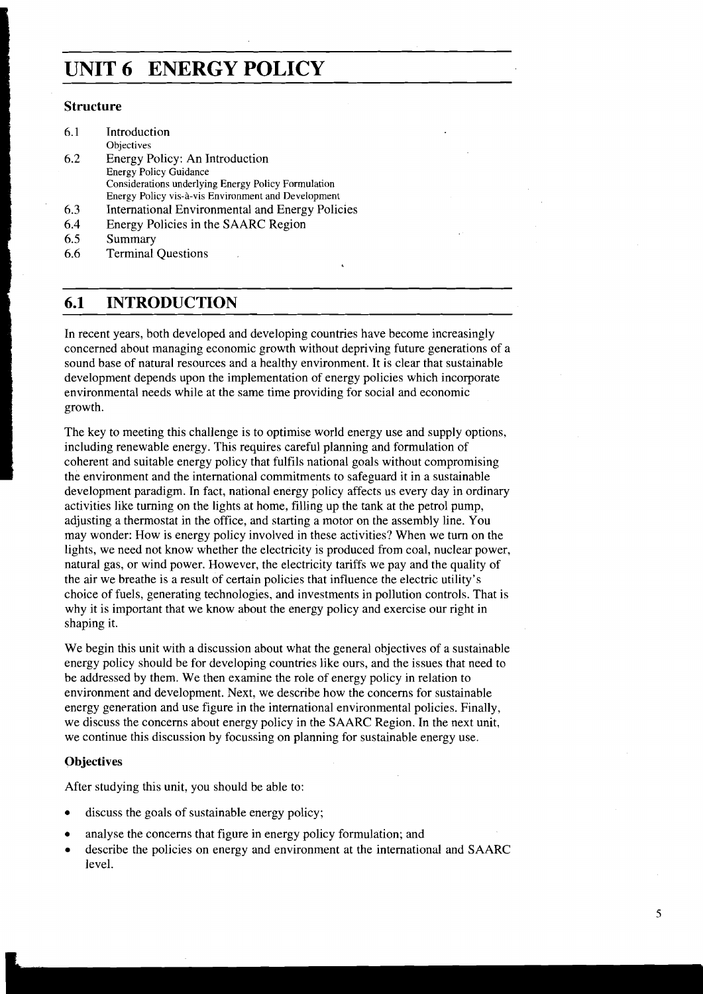# **UNIT 6 ENERGY POLICY**

#### **Structure**

| 6.1 | Introduction                                        |
|-----|-----------------------------------------------------|
|     | Objectives                                          |
| 6.2 | Energy Policy: An Introduction                      |
|     | <b>Energy Policy Guidance</b>                       |
|     | Considerations underlying Energy Policy Formulation |
|     | Energy Policy vis-à-vis Environment and Development |
| 6.3 | International Environmental and Energy Policies     |
| 6.4 | Energy Policies in the SAARC Region                 |
| 6.5 | Summary                                             |
|     |                                                     |

6.6 Terminal Questions

### **6.1 INTRODUCTION**

In recent years, both developed and developing countries have become increasingly concerned about managing economic growth without depriving future generations of a sound base of natural resources and a healthy environment. It is clear that sustainable development depends upon the implementation of energy policies which incorporate development depends upon the implementation of energy policies which incorporate environmental needs while at the same time providing for social and economic growth.

> The key to meeting this challenge is to optimise world energy use and supply options, including renewable energy. This requires careful planning and formulation of coherent and suitable energy policy that fulfils national goals without compromising the environment and the international commitments to safeguard it in a sustainable development paradigm. In fact, national energy policy affects us every day in ordinary activities like turning on the lights at home, filling up the tank at the petrol pump, adjusting a thermostat in the office, and starting a motor on the assembly line. You may wonder: How is energy policy involved in these activities? When we turn on the lights, we need not know whether the electricity is produced from coal, nuclear power, natural gas, or wind power. However, the electricity tariffs we pay and the quality of the air we breathe is a result of certain policies that influence the electric utility's choice of fuels, generating technologies, and investments in pollution controls. That is why it is important that we know about the energy policy and exercise our right in shaping it.

> We begin this unit with a discussion about what the general objectives of a sustainable energy policy should be for developing countries like ours, and the issues that need to be addressed by them. We then examine the role of energy policy in relation to environment and development. Next, we describe how the concerns for sustainable energy gemration and use figure in the international environmental policies. Finally, we discuss the concerns about energy policy in the SAARC Region. In the next unit, we continue this discussion by focussing on planning for sustainable energy use.

#### **Objectives**

After studying this unit, you should be able to:

- discuss the goals of sustainable energy policy;
- analyse the concerns that figure in energy policy formulation; and
- describe the policies on energy and environment at the international and SAARC level.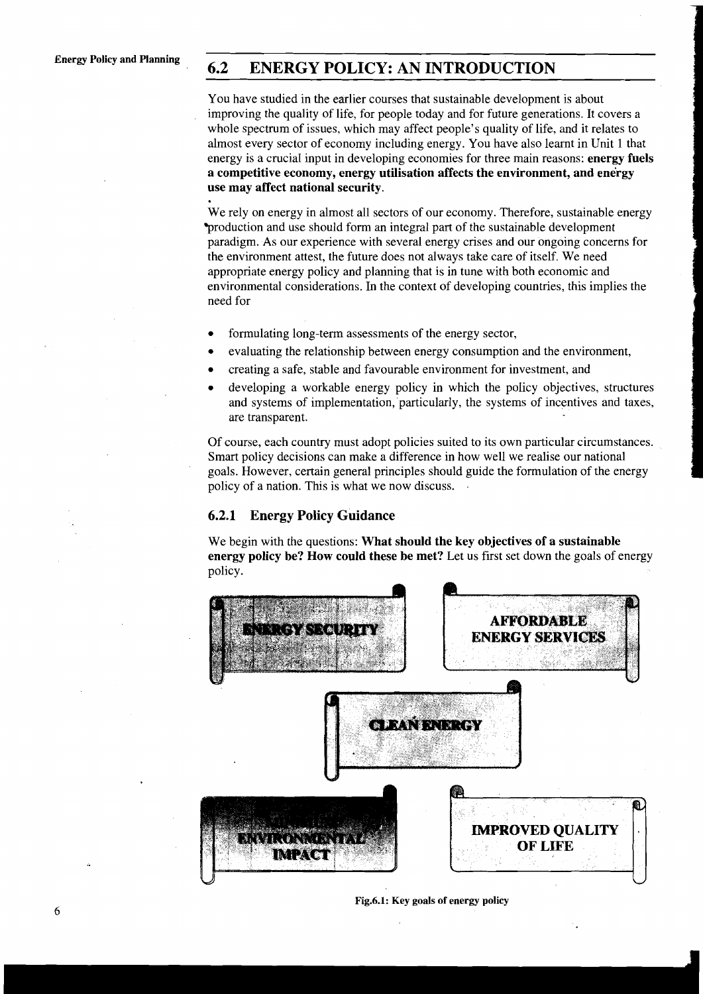# **Energy Policy and Planning 6.2 ENERGY POLICY: AN INTRODUCTION**

You have studied in the earlier courses that sustainable development is about improving the quality of life, for people today and for future generations. It covers a whole spectrum of issues, which may affect people's quality of life, and it relates to almost every sector of economy including energy. You have also learnt in Unit 1 that energy is a crucial input in developing economies for three main reasons: **energy fuels a competitive economy, energy utilisation affects the environment, and energy use may affect national security.** 

We rely on energy in almost all sectors of our economy. Therefore, sustainable energy production and use should form an integral part of the sustainable development paradigm. As our experience with several energy crises and our ongoing concerns for the environment attest, the future does not always take care of itself. We need appropriate energy policy and planning that is in tune with both economic and environmental considerations. In the context of developing countries, this implies the need for

- formulating long-term assessments of the energy sector,
- evaluating the relationship between energy consumption and the environment,
- creating a safe, stable and favourable environment for investment, and
- developing a workable energy policy in which the policy objectives, structures and systems of implementation, particularly, the systems of incentives and taxes, are transparent.

Of course, each country must adopt policies suited to its own particular circumstances. Smart policy decisions can make a difference in how well we realise our national goals. However, certain general principles should guide the formulation of the energy policy of a nation. This is what we now discuss. .

#### **6.2.1 Energy Policy Guidance**

We begin with the questions: **What should the key objectives of a sustainable energy policy be? How could these be met?** Let us first set down the goals of energy policy.



#### **Fig.6.1: Key goals of energy policy**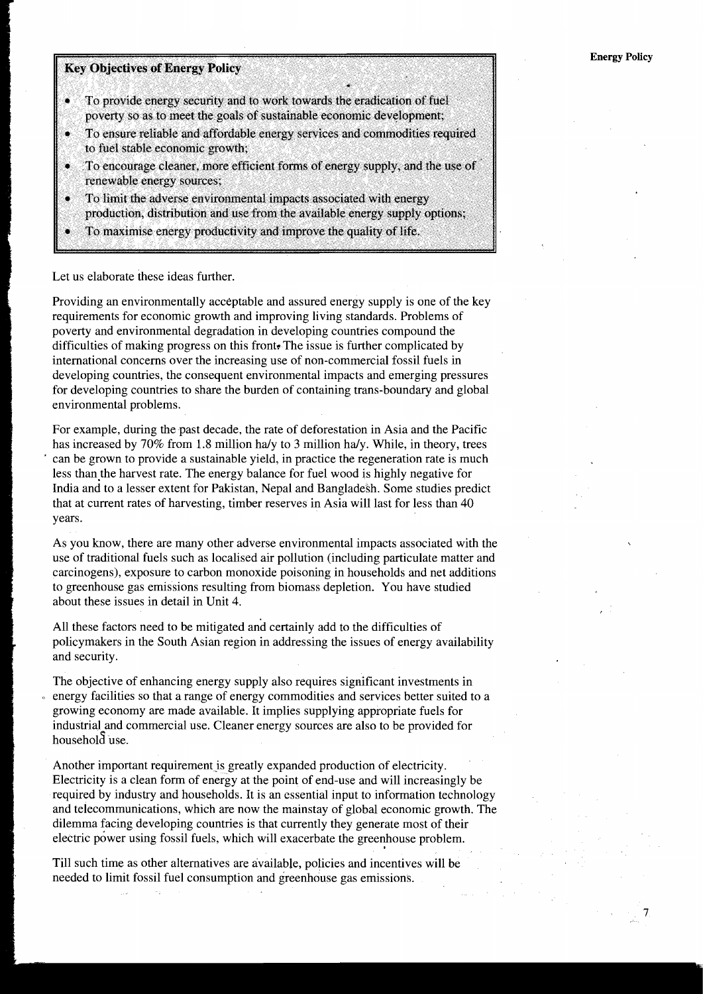# **Key Objectives of Energy Policy**

- To provide energy security and to work towards the eradication of fuel poverty so as to meet the goals of sustainable economic development;
- To ensure reliable and affordable energy services and commodities required to fuel stable economic growth;
- To encourage cleaner, more efficient forms of energy supply, and the use of renewable energy sources;
- ۵ To limit the adverse environmental impacts associated with energy production, distribution and use from the available energy supply options;
- 
- To maximise energy productivity and improve the quality of life.

## Let us elaborate these ideas further.

Providing an environmentally acceptable and assured energy supply is one of the key requirements for economic growth and improving living standards. Problems of poverty and environmental degradation in developing countries compound the difficulties of making progress on this front. The issue is further complicated by international concerns over the increasing use of non-commercial fossil fuels in developing countries, the consequent environmental impacts and emerging pressures for developing countries to share the burden of containing trans-boundary and global environmental problems.

For example, during the past decade, the rate of deforestation in Asia and the Pacific has increased by 70% from 1.8 million hdy to **3** million hdy. While, in theory, trees can be grown to provide a sustainable yield, in practice the regeneration rate is much less than the harvest rate. The energy balance for fuel wood is highly negative for India and to a lesser extent for Pakistan, Nepal and Bangladesh. Some studies predict that at current rates of harvesting, timber reserves in Asia will last for less than 40 years.

As you know, there are many other adverse environmental impacts associated with the use of traditional fuels such as localised air pollution (including particulate matter and carcinogens), exposure to carbon monoxide poisoning in households and net additions to greenhouse gas emissions resulting from biomass depletion. You have studied about these issues in detail in Unit 4.

All these factors need to be mitigated and certainly add to the difficulties of policymakers in the South Asian region in addressing the issues of energy availability and security.

The objective of enhancing energy supply also requires significant investments in energy facilities so that a range of energy commodities and services better suited to a growing economy are made available. It implies supplying appropriate fuels for industrial and commercial use. Cleaner energy sources are also to be provided for household use.

Another important requirement is greatly expanded production of electricity. Electricity is a clean form of energy at the point of end-use and will increasingly be required by industry and households. It is an essential input to information technology and telecommunications, which are now the mainstay of global economic growth. The dilemma facing developing countries is that currently they generate most of their electric power using fossil fuels, which will exacerbate the greenhouse problem.

Till such time as other alternatives are available, policies and incentives will be needed to limit fossil fuel consumption and greenhouse gas emissions.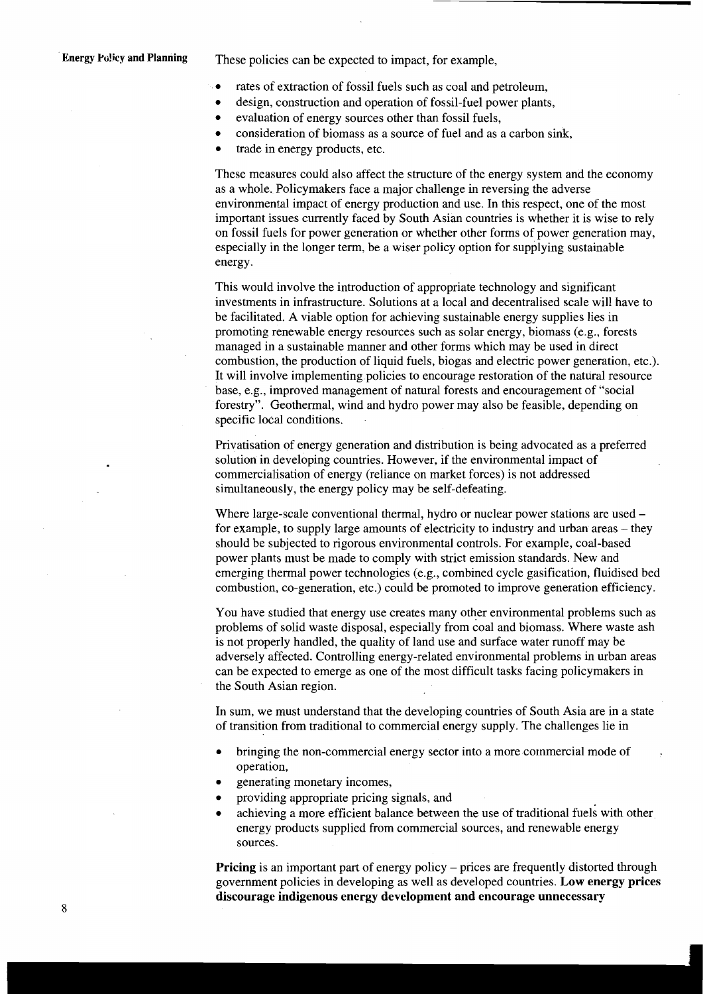**Energy Policy and Planning** These policies can be expected to impact, for example,

- rates of extraction of fossil fuels such as coal and petroleum,  $\bullet$
- $\bullet$ design, construction and operation of fossil-fuel power plants,
	- evaluation of energy sources other than fossil fuels,
- consideration of biomass as a source of fuel and as a carbon sink,  $\bullet$
- trade in energy products, etc.  $\bullet$

 $\bullet$ 

These measures could also affect the structure of the energy system and the economy as a whole. Policymakers face a major challenge in reversing the adverse environmental impact of energy production and use. In this respect, one of the most important issues currently faced by South Asian countries is whether it is wise to rely on fossil fuels for power generation or whether other forms of power generation may, especially in the longer term, be a wiser policy option for supplying sustainable energy.

This would involve the introduction of appropriate technology and significant investments in infrastructure. Solutions at a local and decentralised scale will have to be facilitated. A viable option for achieving sustainable energy supplies lies in promoting renewable energy resources such as solar energy, biomass (e.g., forests managed in a sustainable manner and other forms which may be used in direct combustion, the production of liquid fuels, biogas and electric power generation, etc.). It will involve implementing policies to encourage restoration of the natural resource base, e.g., improved management of natural forests and encouragement of "social forestry". Geothermal, wind and hydro power may also be feasible, depending on specific local conditions.

Privatisation of energy generation and distribution is being advocated as a preferred solution in developing countries. However, if the environmental impact of commercialisation of energy (reliance on market forces) is not addressed simultaneously, the energy policy may be self-defeating.

Where large-scale conventional thermal, hydro or nuclear power stations are used – for example, to supply large amounts of electricity to industry and urban areas – they should be subjected to rigorous environmental controls. For example, coal-based power plants must be made to comply with strict emission standards. New and emerging thermal power technologies (e.g., combined cycle gasification, fluidised bed combustion, co-generation, etc.) could be promoted to improve generation efficiency.

You have studied that energy use creates many other environmental problems such as problems of solid waste disposal, especially from coal and biomass. Where waste ash is not properly handled, the quality of land use and surface water runoff may be adversely affected. Controlling energy-related environmental problems in urban areas can be expected to emerge as one of the most difficult tasks facing policymakers in the South Asian region.

In sum, we must understand that the developing countries of South Asia are in a state of transition from traditional to commercial energy supply. The challenges lie in

- bringing the non-commercial energy sector into a more commercial mode of . operation,
- generating monetary incomes,
- providing appropriate pricing signals, and
- achieving a more efficient balance between the use of traditional fuels with other energy products supplied from commercial sources, and renewable energy sources.

**Pricing** is an important part of energy policy – prices are frequently distorted through government policies in developing as well as developed countries. **Low energy prices discourage indigenous energy development and encourage unnecessary**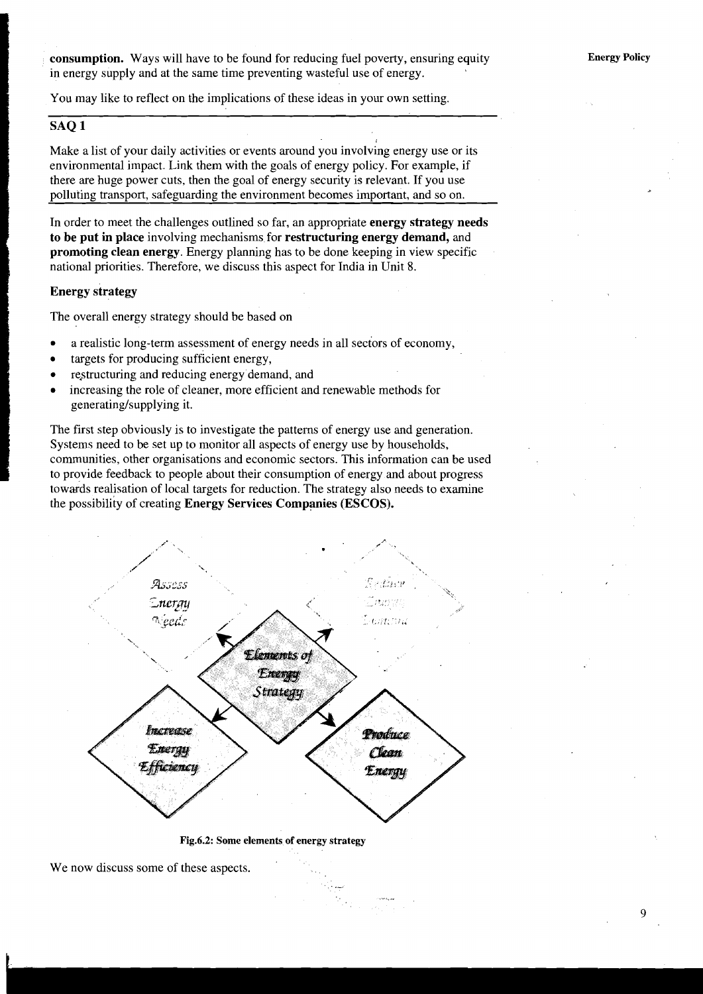**consumption.** Ways will have to be found for reducing fuel poverty, ensuring equity in energy supply and at the same time preventing wasteful use of energy.

You may like to reflect on the implications of these ideas in your own setting.

### **SAQ 1**

Make a list of your daily activities or events around you involving energy use or its environmental impact. Link them with the goals of energy policy. For example, if there are huge power cuts, then the goal of energy security is relevant. If you use polluting transport, safeguarding the environment becomes important, and so on.

In order to meet the challenges outlined so far, an appropriate **energy strategy needs to be put in place** involving mechanisms for **restructuring energy demand,** and **promoting clean energy.** Energy planning has to be done keeping in view specific national priorities. Therefore, we discuss this aspect for India in Unit 8.

#### **Energy strategy**

The overall energy strategy should be based on

- a realistic long-term assessment of energy needs in all sectors of economy,  $\bullet$
- targets for producing sufficient energy,
- restructuring and reducing energy demand, and  $\bullet$
- increasing the role of cleaner, more efficient and renewable methods for  $\bullet$ generating/supplying it.

The first step obviously is to investigate the patterns of energy use and generation. Systems need to be set up to monitor all aspects of energy use by households, communities, other organisations and economic sectors. This information can be used to provide feedback to people about their consumption of energy and about progress towards realisation of local targets for reduction. The strategy also needs to examine the possibility of creating **Energy Services Companies (ESCOS).** 



**Fig.6.2: Some elements of energy strategy** 

.-

We now discuss some of these aspects.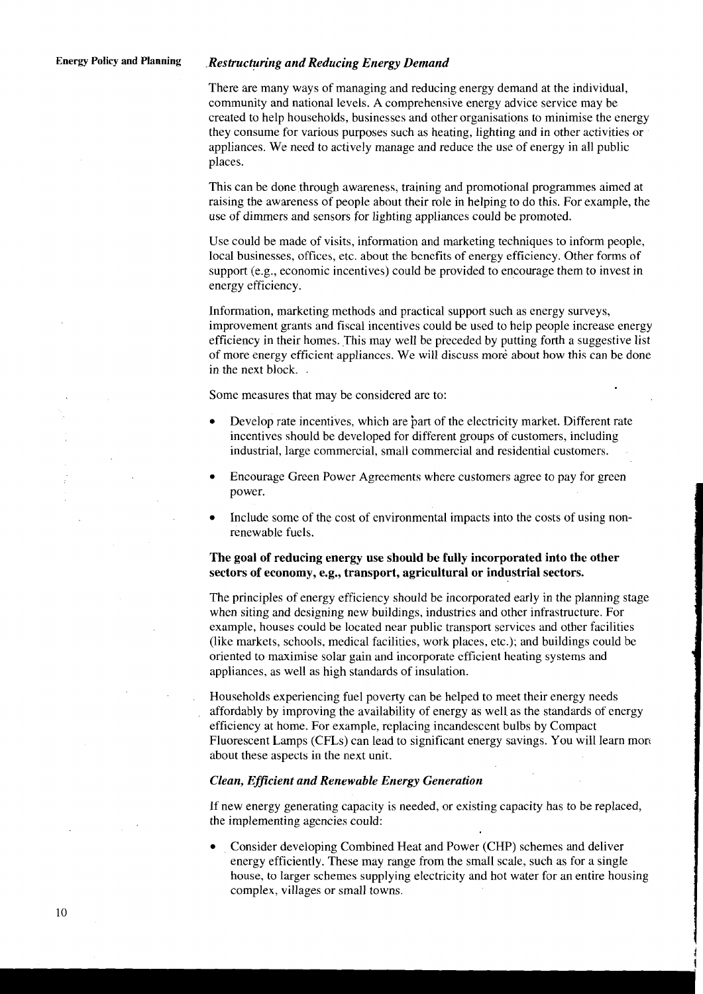#### **Energy Policy and Planning** *.Restructuring and Reducing Energy Demand*

There are many ways of managing and reducing energy demand at the individual, community and national levels. A comprehensive energy advice service may be created to help households, businesses and other organisations to minimise the energy they consume for various purposes such as heating, lighting and in other activities or appliances. We need to actively manage and reduce the use of energy in all public places.

This can be done through awareness, training and promotional programmes aimed at raising the awareness of people about their role in helping to do this. For example, the use of dimmers and sensors for lighting appliances could be promoted.

Use could be made of visits, information and marketing techniques to inform people, local businesses, offices, etc. about the bcncfits of energy efficiency. Other forms of support (e.g., economic incentives) could be provided to encourage them to invest in energy efficiency.

Information, marketing methods and practical support such as energy surveys, improvement grants and fiscal incentives could be used to help people increase energy efficiency in their homes. This may well be preceded by putting forth a suggestive list of more energy efficient applianccs. We will discuss more about how this can be done in the next block. .

Some measures that may be considered are to:

- Develop rate incentives, which are part of the electricity market. Different rate incentives should be developed for different groups of customers, including industrial, large commercial, small commercial and residential customers.
- Encourage Green Power Agreements where customers agree to pay for green power.
- Include some of the cost of environmental impacts into the costs of using nonrenewable fuels.

#### **The goal of reducing energy use should be fully incorporated into the other sectors of economy, e.g., transport, agricultural or industrial sectors.**

The principles of energy efficiency should be incorporated early in the planning stage when siting and designing new buildings, industries and other infrastructure. For example, houses could be located near public transport services and other facilities (like markets, schools, medical facilities, work places, etc.); and buildings could be oriented to maximise solar gain and incorporate efficient heating systems and appliances, as well as high standards of insulation.

Households experiencing fuel poverty can be helped to meet their energy needs affordably by improving the availability of energy as well as the standards of energy efficiency at home. For example, replacing incandescent bulbs by Compact Fluorescent Lamps (CFLs) can lead to significant energy savings. You will learn morc about these aspects in the next unit.

#### *Clean, Efficient and Renewable Energy Generation*

If new energy generating capacity is needed, or existing capacity has to be replaced, the implementing agencies could:

Consider developing Combined Heat and Power (CHP) schemes and deliver energy efficiently. These may range from the small scale, such as for a single house, to larger schemes supplying electricity and hot water for an entire housing complex, villages or small towns.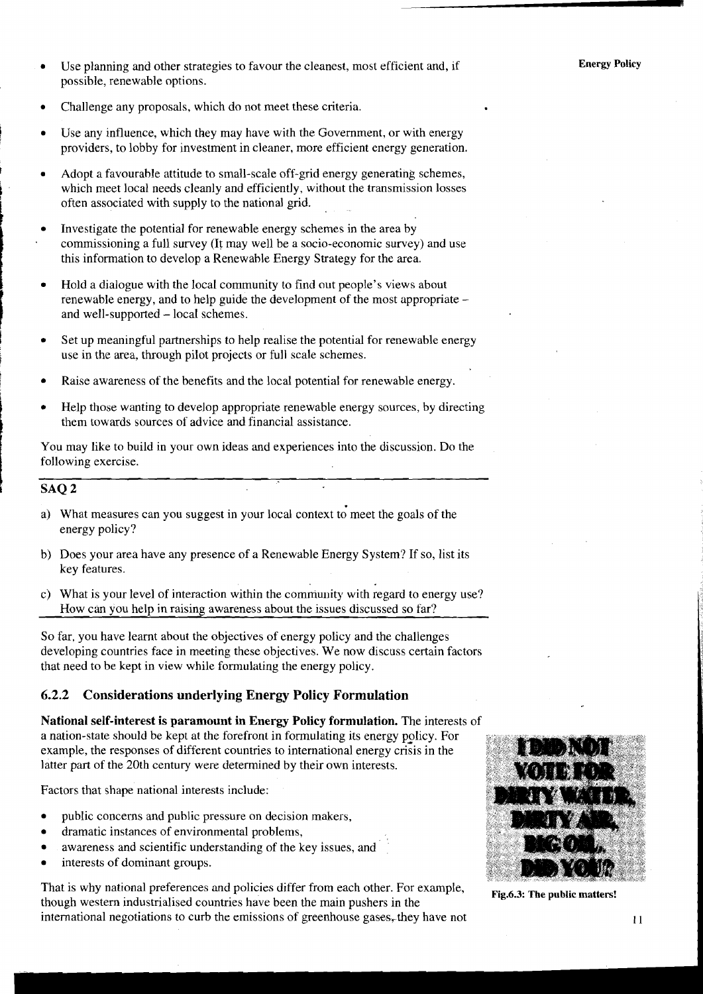- Use planning and other strategies to favour the cleanest, most efficient and, if possible, renewable options.
- Challenge any proposals, which do not meet these criteria.
- Use any influence, which they may have with the Government, or with energy providers, to lobby for investment in cleaner, more efficient energy generation.
- **<sup>t</sup>**Adopt a favourahle attitude to small-scale off-grid energy generating schemes, which meet local needs cleanly and efficiently, without the transmission losses often associated with supply to the national grid.
- Investigate the potential for renewable energy schemes in the area by <sup>L</sup> commissioning a full survey (It may well be a socio-economic survey) and use this information to develop a Renewable Energy Strategy for the area.
- Hold a dialogue with the local community to find out people's views about renewable energy, and to help guide the development of the most appropriate and well-supported - local schemes.
- Set up meaningful partnerships to help realise the potential for renewable energy use in the area, through pilot projects or full scale schemes.
- Raise awareness of the benefits and the local potential for renewable energy.
- Help those wanting to develop appropriate renewable energy sources, by directing them towards sources of advice and financial assistance.

You may like to build in your own ideas and experiences into the discussion. Do the following exercise.

#### **SAQ 2**

- a) What measures can you suggest in your local context to meet the goals of the energy policy?
- b) Does your area have any presence of a Renewable Energy System? If so, list its key features.
- c) What is your level of interaction within the community with regard to energy use? How can vou help in raising awareness about the issues discussed so far?

So far, you have learnt about the objectives of energy policy and the challenges developing countries face in meeting these objectives. We now discuss certain factors that need to be kept in view while formulating the energy policy.

#### **6.2.2 Considerations underlying Energy Policy Formulation**

**National self-interest is paramount in Energy Policy formulation.** The interests of a nation-state should be kept at the forefront in formulating its energy policy. For example, the responses of different countries to international energy crisis in the latter part of the 20th century were determined by their own interests.

Factors that shape national interests include:

- public concerns and public pressure on decision makers,
- dramatic instances of environmental problems,  $\bullet$
- awareness and scientific understanding of the key issues, and
- interests of dominant groups.

That is why national preferences and policies differ from each other. For example,<br>though western industrialised countries have been the main pushers in the<br>the public matters! international negotiations to curb the emissions of greenhouse gases, they have not **I I** 

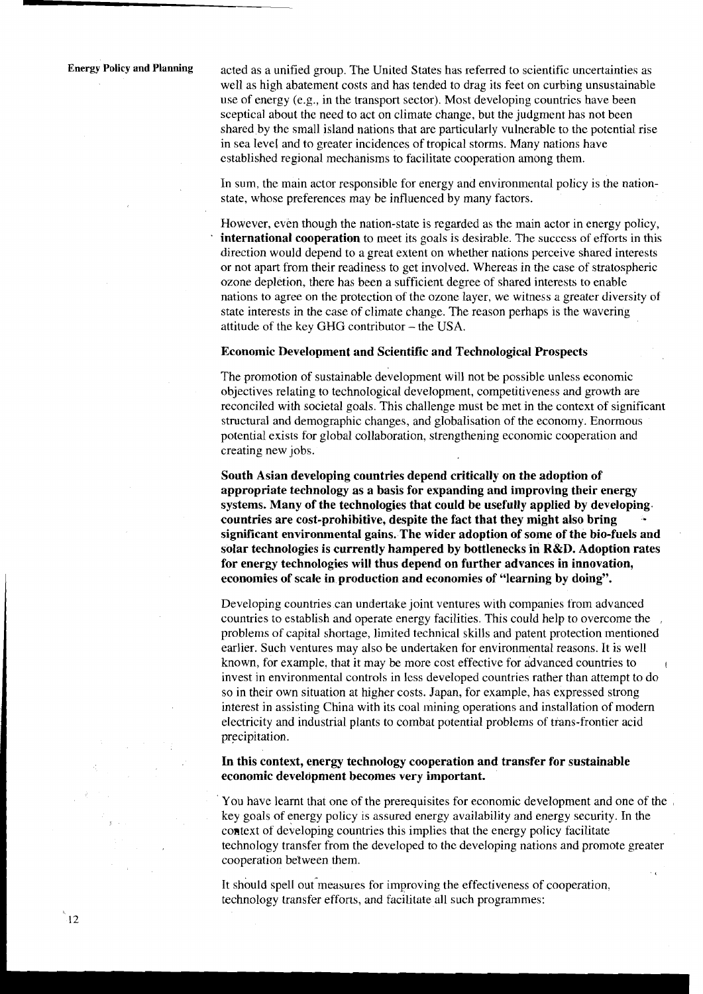**Energy Policy and Planning** acted as a unified group. The United States has referred to scientific uncertainties as well as high abatement costs and has tended to drag its feet on curbing unsustainable use of energy (e.g., in the transport sector). Most developing countries have been sceptical about the need to act on climate change, but the judgment has not been shared by the small island nations that are particularly vulnerable to the potential rise in sea level and to greater incidences of tropical storms. Many nations have established regional mechanisms to facilitate cooperation among them.

> In sum, the main actor responsible for energy and environmental policy is the nationstate, whose preferences may be influenced by many factors.

> However, even though the nation-state is regarded as the main actor in energy policy, **international cooperation** to meet its goals is desirable. The succcss of efforts in this direction would depend to a great extent on whether nations perceive shared interests or not apart from their readiness to get involved. Whereas in the case of stratospheric ozone depletion, there has been a sufficient degree of shared interests to enable nations to agree on the protection of the ozone layer, we witness a greater diversity of state interests in the case of climate change. The reason perhaps is the wavering attitude of the key GHG contributor - the USA.

#### **Economic Development and Scientific and Technological Prospects**

The promotion of sustainable development will not be possible unless economic objectives relating to technological development, competitiveness and growth are reconciled with societal goals. This challenge must be met in the context of significant structural and demographic changes, and globalisation of the economy. Enormous potential exists for global collaboration, strengthening economic cooperation and creating new jobs.

**South Asian developing countries depend critically on the adoption of appropriate technology as a basis for expanding and improving their energy systems. Many of the technologies that could be usefully applied by developing. countries are cost-prohibitive, despite the fact that they might also bring significant environmental gains. The wider adoption of some of the bio-fuels and solar technologies is currently hampered by bottlenecks in R&D. Adoption rates for energy technologies will thus depend on further advances in innovation, economies of scale in production and economies of "learning by doing".** 

Developing countries can undertake joint ventures with companies from advanced countries to establish and operate energy facilities. This could help to overcome the . problems of capital shortage, limited technical skills and patent protection mentioned earlier. Such ventures may also be undertaken for environmental reasons. It is well known, for example, that it may be more cost effective for advanced countries to invest in environmental controls in less developed countries rather than attempt to do so in their own situation at higher costs. Japan, for example, has expressed strong interest in assisting China with its coal mining operations and installation of modern electricity and industrial plants to combat potential problems of trans-frontier acid precipitation.

**In this context, energy technology cooperation and transfer for sustainable economic development becomes very important.** 

You have learnt that one of the prerequisites for economic development and one of the key goals of energy policy is assured energy availability and energy security. In the context of developing countries this implies that the energy policy facilitate technology transfer from the developed to the developing nations and promote greater cooperation between them.

It should spell out measures for improving the effectiveness of cooperation. technology transfer efforts, and facilitate all such programmes: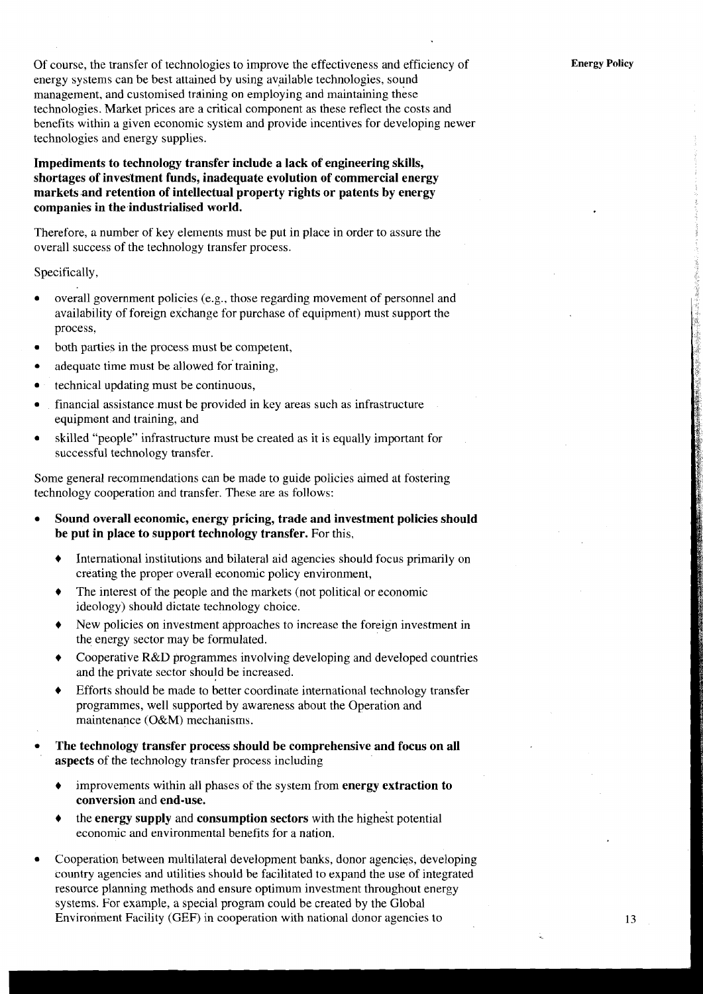Of course, the transfer of technologies to improve the effectiveness and efficiency of energy systems can be best attained by using available technologies, sound management, and customised training on employing and maintaining these technologies. Market prices are a critical component as these reflect the costs and benefits within a given economic system and provide incentives for developing newer technologies and energy supplies.

#### **Impediments to technology transfer include a lack of engineering skills, shortages of investment funds, inadequate evolution of commercial energy markets .and retention of intellectual property rights or patents by energy companies in the,industrialised world.**

Therefore, a number of key elements must be put in place in order to assure the overall success of the technology transfer process.

Specifically,

- overall government policies (e.g., those regarding movement of personnel and availability of foreign exchange for purchase of equipment) must support the process,
- both parties in the process must be competent,
- adequate time must be allowed for training,
- technical updating must be continuous,
- financial assistance.must be provided in key areas such as infrastructure equipment and training, and
- skilled "people" infrastructure must be created as it is equally important for successful technology transfer.

Some general recommendations can be made to guide policies aimed at fostering technology cooperation and transfer. These are as follows:

- **Sound overall economic, energy pricing, trade and investment policies should be put in place to support technology transfer.** For this,
	- + International institutions and bilateral aid agencies should focus primarily on creating the proper overall economic policy environment,
	- $\bullet$  The interest of the people and the markets (not political or economic ideology) should dictate technology choice.
	- + New policies on investment approaches to increase the foreign investment in the energy sector may be formulated.
	- + Cooperative R&D programmes involving developing and developed countries and the private sector should be increased.
	- Efforts should be made to better coordinate international technology transfer programmes, well supported by awareness about the Operation and maintenance (O&M) mechanisms.
- **The technology transfer process should be comprehensive and focus on all aspects** of the technology transfer process including
	- improvements within all phases of the system from **energy extraction to conversion** and **end-use.**
	- the **energy supply** and **consumption sectors** with the highest potential economic and environmental benefits for a nation.
- Cooperation between multilateral development banks, donor agencies, developing country agencies and utilities should be facilitated to expand the use of integrated resource planning methods and ensure optimum investment throughout energy systems. For example, a special program could be created by the Global Environment Facility (GEF) in cooperation with national donor agencies to 13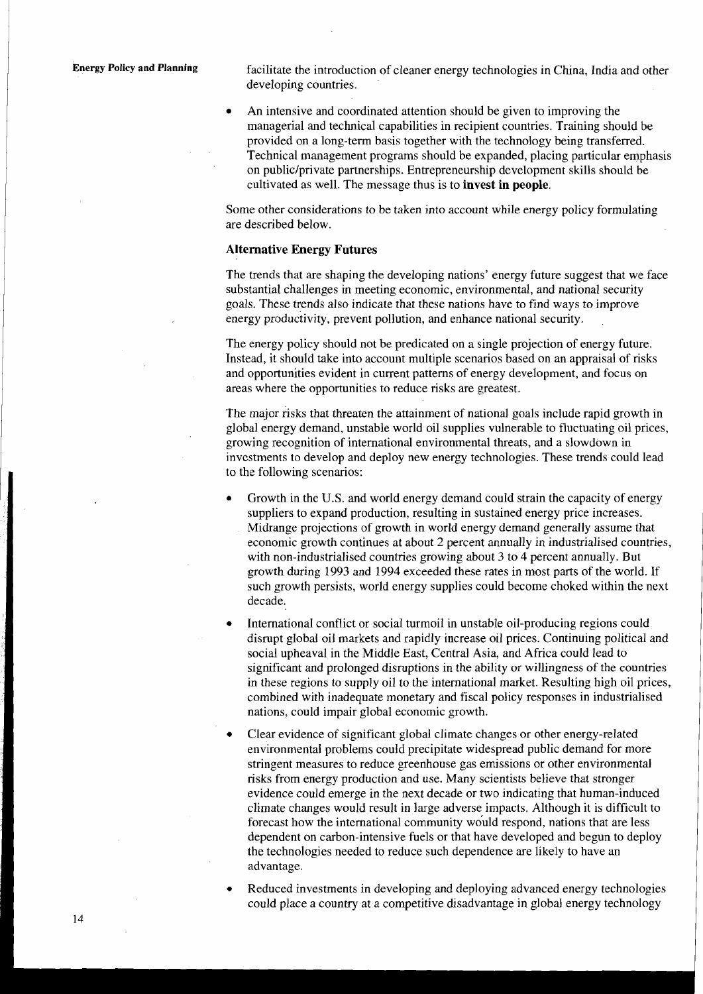**Energy Policy and Planning** facilitate the introduction of cleaner energy technologies in China, India and other developing countries.

> An intensive and coordinated attention should be given to improving the managerial and technical capabilities in recipient countries. Training should be provided on a long-term basis together with the technology being transferred. Technical management programs should be expanded, placing particular emphasis on public/private partnerships. Entrepreneurship development skills should be cultivated as well. The message thus is to **invest in people.**

Some other considerations to be taken into account while energy policy formulating are described below.

#### **Alternative Energy Futures**

The trends that are shaping the developing nations' energy future suggest that we face substantial challenges in meeting economic, environmental, and national security goals. These trends also indicate that these nations have to find ways to improve energy productivity, prevent pollution, and enhance national security.

The energy policy should not be predicated on a single projection of energy future. Instead, it should take into account multiple scenarios based on an appraisal of risks and opportunities evident in current patterns of energy development, and focus on areas where the opportunities to reduce risks are greatest.

The major risks that threaten the attainment of national goals include rapid growth in global energy demand, unstable world oil supplies vulnerable to fluctuating oil prices, growing recognition of international environmental threats, and a slowdown in investments to develop and deploy new energy technologies. These trends could lead to the following scenarios:

- Growth in the U.S. and world energy demand could strain the capacity of energy suppliers to expand production, resulting in sustained energy price increases. Midrange projections of growth in world energy demand generally assume that economic growth continues at about 2 percent annually in industrialised countries, with non-industrialised countries growing about **3** to 4 percent annually. But growth during 1993 and 1994 exceeded these rates in most parts of the world. If such growth persists, world energy supplies could become choked within the next decade.
- International conflict or social turmoil in unstable oil-producing regions could disrupt global oil markets and rapidly increase oil prices. Continuing political and social upheaval in the Middle East, Central Asia, and Africa could lead to significant and prolonged disruptions in the ability or willingness of the countries in these regions to supply oil to the international market. Resulting high oil prices, combined with inadequate monetary and fiscal policy responses in industrialised nations, could impair global economic growth.
- Clear evidence of significant global climate changes or other energy-related environmental problems could precipitate widespread public demand for more stringent measures to reduce greenhouse gas emissions or other environmental risks from energy production and use. Many scientists believe that stronger evidence could emerge in the next decade or two indicating that human-induced climate changes would result in large adverse impacts. Although it is difficult to forecast how the international community would respond, nations that are less dependent on carbon-intensive fuels or that have developed and begun to deploy the technologies needed to reduce such dependence are likely to have an advantage.
- Reduced investments in developing and deploying advanced energy technologies could place a country at a competitive disadvantage in global energy technology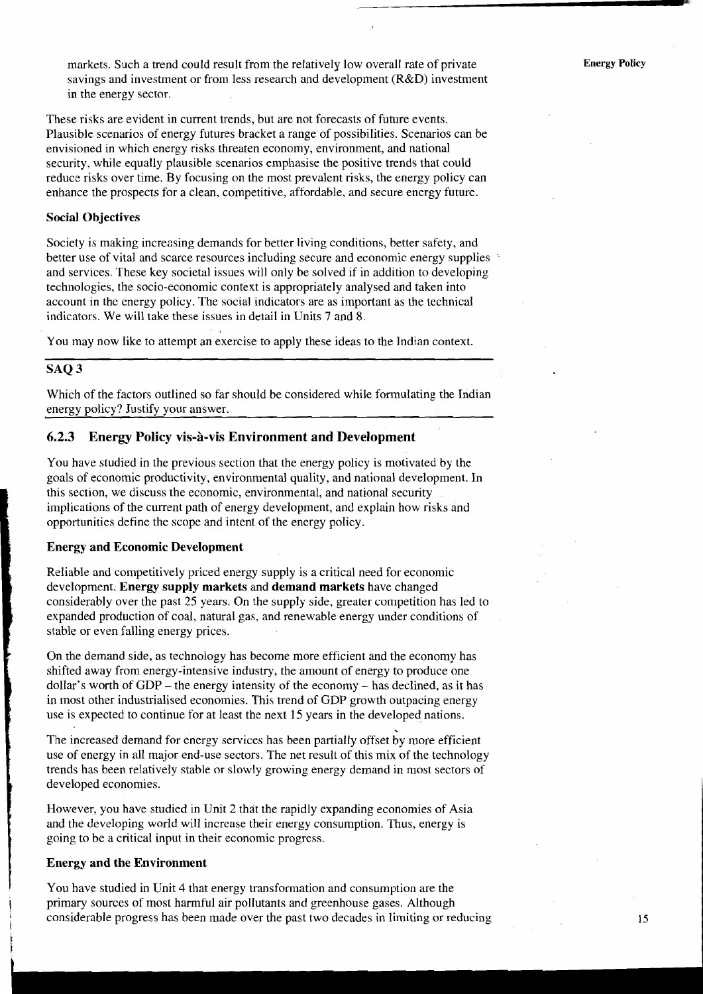markets. Such a trend could result from the relatively low overall rate of private savings and investment or from less research and development (R&D) investment in the energy sector.

These risks are evident in current trends, but are not forecasts of future events. Plausible scenarios of energy futures bracket a range of possibilities. Scenarios can be envisioned in which energy risks threaten economy, environment, and national security, while equally plausible scenarios emphasise the positive trends that could reduce risks over time. By focusing on the most prevalent risks, the energy policy can enhance the prospects for a clean, competitive, affordable, and secure energy future.

#### **Social Objectives**

Society is making increasing demands for better living conditions, better safety, and better use of vital and scarce resources including secure and economic energy supplies ' and services. These key societal issues will only be solved if in addition to developing technologies, the socio-economic context is appropriately analysed and taken into account in the energy policy. The social indicators are as important as the technical indicators. We will take these issues in detail in Units 7 and 8.

You may now like to attempt an exercise to apply these ideas to the Indian context.

#### **SAQ 3**

Which of the factors outlined so far should be considered while formulating the Indian energy policy? Justify your answer.

#### **6.2.3 Energy Policy vis-a-vis Environment and Development**

You have studied in the previous section that the energy policy is motivated by the goals of economic productivity, environmental quality, and national development. In this section, we discuss the economic, environmental, and national security implications of the current path of energy development, and explain how risks and opportunities define the scope and intent of the energy policy.

#### **Energy and Economic Development**

Reliable and competitively priced energy supply is a critical need for economic development. **Energy supply markets** and **demand markets** have changed considerably over the past 25 years. On the supply side, greater competition has led to expanded production of coal, natural gas, and renewable energy under conditions of stable or even falling energy prices.

On the demand side, as technology has become more efficient and the economy has shifted away from energy-intensive industry, the amount of energy to produce one dollar's worth of  $GDP$  – the energy intensity of the economy – has declined, as it has in most other industrialised economies. This trend of GDP growth outpacing energy use is expected to continue for at least the next 15 years in the developed nations.

The increased demand for energy services has been partially offset by more efficient use of energy in all major end-use sectors. The net result of this mix of the technology trends has been relatively stable or slowly growing energy demand in most sectors of developed economies.

However, you have studied in Unit 2 that the rapidly expanding economies of Asia and the developing world will increase their energy consumption. Thus, energy is going to be a critical input in their economic progress.

#### **Energy and the Environment**

**<sup>1</sup>**You have studied in Unit 4 that energy transformation and consumption are the primary sources of most harmful air pollutants and greenhouse gases. Although considerable progress has been made over the past two decades in limiting or reducing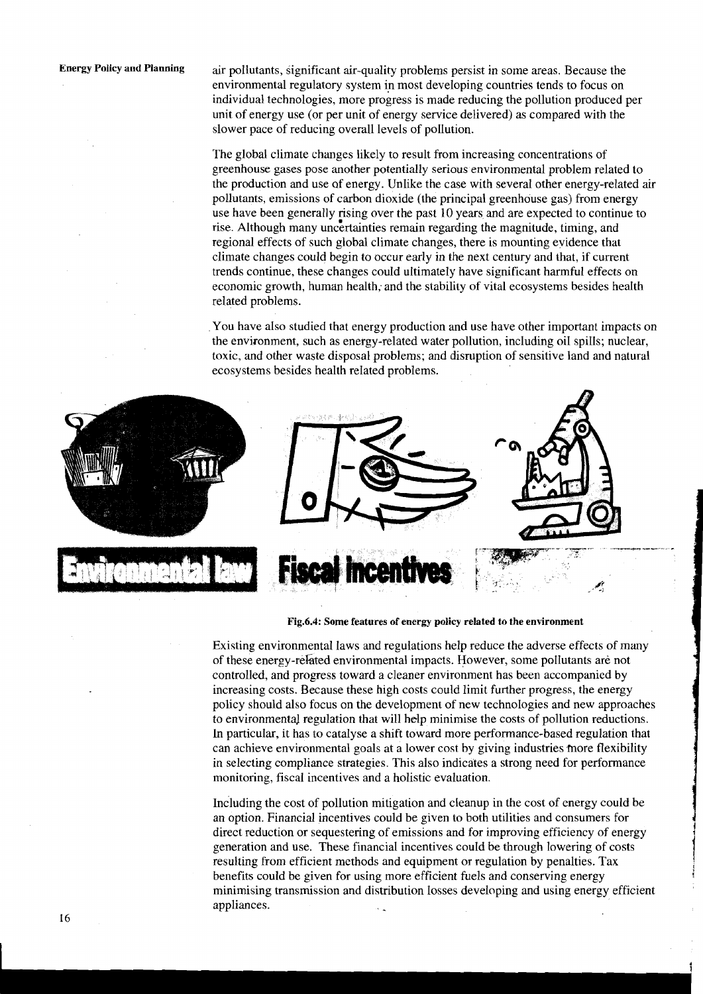**Energy Policy and Planning** air pollutants, significant air-quality problems persist in some areas. Because the environmental regulatory system in most developing countries tends to focus on individual technologies, more progress is made reducing the pollution produced per unit of energy use (or per unit of energy service delivered) as compared with the slower pace of reducing overall levels of pollution.

> The global climate changes likely to result from increasing concentrations of greenhouse gases pose another potentially serious environmental problem related to the production and use af energy. Unlike the case with several other energy-related air pollutants, emissions of carbon dioxide (the principal greenhouse gas) from energy use have been generally rising over the past 10 years and are expected to continue to rise. Although many uncertainties remain regarding the magnitude, timing, and regional effects of such global climate changes, there is mounting evidence that climate changes could begin to occur early in the next century and that, if current trends continue, these changes could ultimately have significant harmful effects on economic growth, human health; and the stability of vital ecosystems besides health related problems.

> You have also studied that energy production and use have other important impacts on the environment, such as energy-related water pollution, including oil spills; nuclear, toxic, and other waste disposal problems; and disruption of sensitive land and natural ecosystems besides health related problems.



Fig.6.4: Some features of energy policy related to the environment

Existing environmental laws and regulations help reduce the adverse effects of many of these energy-reked environmental impacts. However, some pollutants are not controlled, and progress toward a cleaner environment has been accompanied by increasing costs. Because these high costs could limit further progress, the energy policy should also focus on the development of new technologies and new approaches to environmental regulation that will help minimise the costs of pollution reductions. In particular, it has to catalyse a shift toward more performance-based regulation that can achieve environmental goals at a lower cost by giving industries more flexibility in selecting compliance strategies. This also indicates a strong need for perfomance monitoring, fiscal incentives and a holistic evaluation.

Including the cost of pollution mitigation and cleanup in the cost of energy could be an option. Financial incentives could be given to both utilities and consumers for direct reduction or sequestering of emissions and for improving efficiency of energy generation and use. These financial incentives could be through lowering of costs resulting from efficient methods and equipment or regulation by penalties. Tax benefits could be given for using more efficient fuels and conserving energy minimising transmission and distribution losses developing and using energy efficient appliances.

**I 1** 

**i** 

i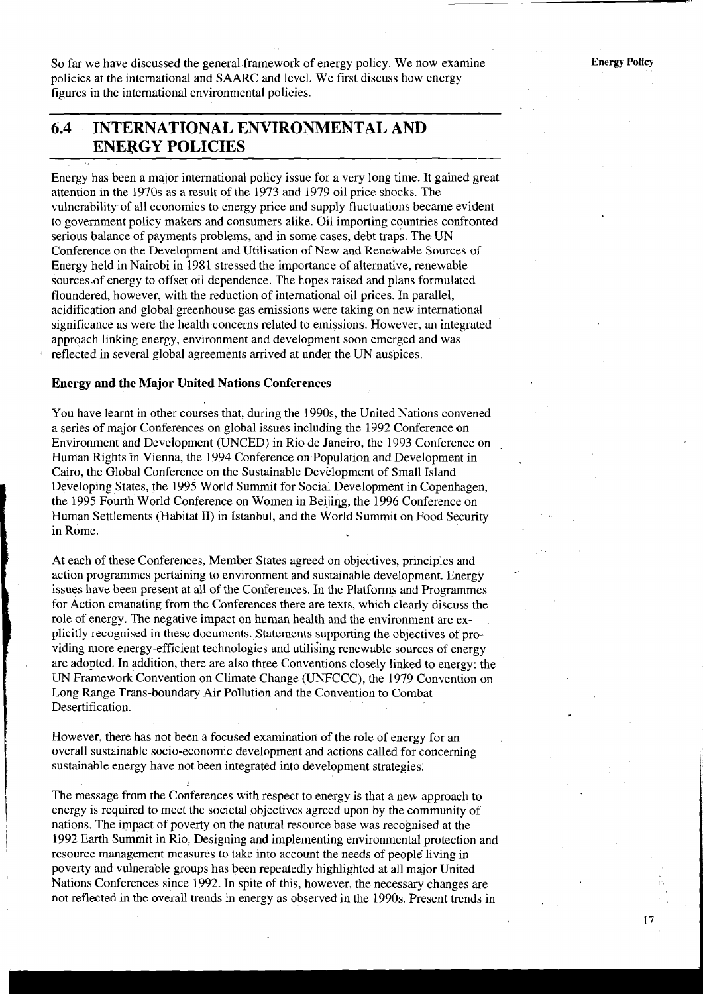So far we have discussed the general framework of energy policy. We now examine policies at the international and SAARC and level. We first discuss how energy figures in the international environmental policies.

### **6.4 INTERNATIONAL ENVIRONMENTAL AND ENERGY POLICIES**

- Energy has been a major international policy issue for a very long time. It gained great attention in the 1970s as a result of the 1973 and 1979 oil price shocks. The vulnerability of all economies to energy price and supply fluctuations became evident to government policy makers and consumers alike. Oil importing countries confronted serious balance of payments problems, and in some cases, debt traps. The UN Conference on the Development and Utilisation of New and Renewable Sources of Energy held in Nairobi in 1981 stressed the importance of alternative, renewable sources of energy to offset oil dependence. The hopes raised and plans formulated floundered, however, with the reduction of international oil prices. In parallel, acidification and global greenhouse gas emissions were taking on new international significance as were the health concerns related to emissions. However, an integrated approach linking energy, environment and development soon emerged and was reflected in several global agreements arrived at under the UN auspices.

#### **Energy and the Major United Nations Conferences**

You have learnt in other courses that, during the 1990s, the United Nations convened a series of major Conferences on global issues including the 1992 Conference on Environment and Development (UNCED) in Rio de Janeiro, the 1993 Conference on Human Rights in Vienna, the 1994 Conference on Population and Development in Cairo, the Global Conference on the Sustainable Development of Small Island Developing States, the 1995 World Summit for Social Development in Copenhagen, the 1995 Fourth World Conference on Women in Beijing, the 1996 Conference on Human Settlements (Habitat 11) in Istanbul, and the World Summit on Food Security in Rome.

At each of these Conferences, Member States agreed on objectives, principles and action programmes pertaining to environment and sustainable development. Energy issues have been present at all of the Conferences. In the Platforms and Programmes for Action emanating from the Conferences there are texts, whch clearly discuss the role of energy. The negative impact on human health and the environment are explicitly recognised in these documents. Statements supporting the objectives of providing more energy-efficient technologies and utilising renewable sources of energy are adopted. In addition, there are also three Conventions closely linked to energy: the UN Framework Convention on Climate Change (UNFCCC), the 1979 Convention on Long Range Trans-boundary Air Pollution and the Convention to Combat Desertification.

However, there has not been a focused examination of the role of energy for an overall sustainable socio-economic development and actions called for concerning sustainable energy have not been integrated into development strategies.

The message from the Conferences with respect to energy is that a new approach to energy is required to meet the societal objectives agreed upon by the community of nations. The impact of poverty on the natural resource base was recognised at the 1992 Earth Summit in Rio. Designing and implementing environmental protection and resource management measures to take into account the needs of people living in poverty and vulnerable groups has been repeatedly highlighted at all major United Nations Conferences since 1992. In spite of this, however, the necessary changes are not reflected in the overall trends in energy as observed in the 1990s. Present trends in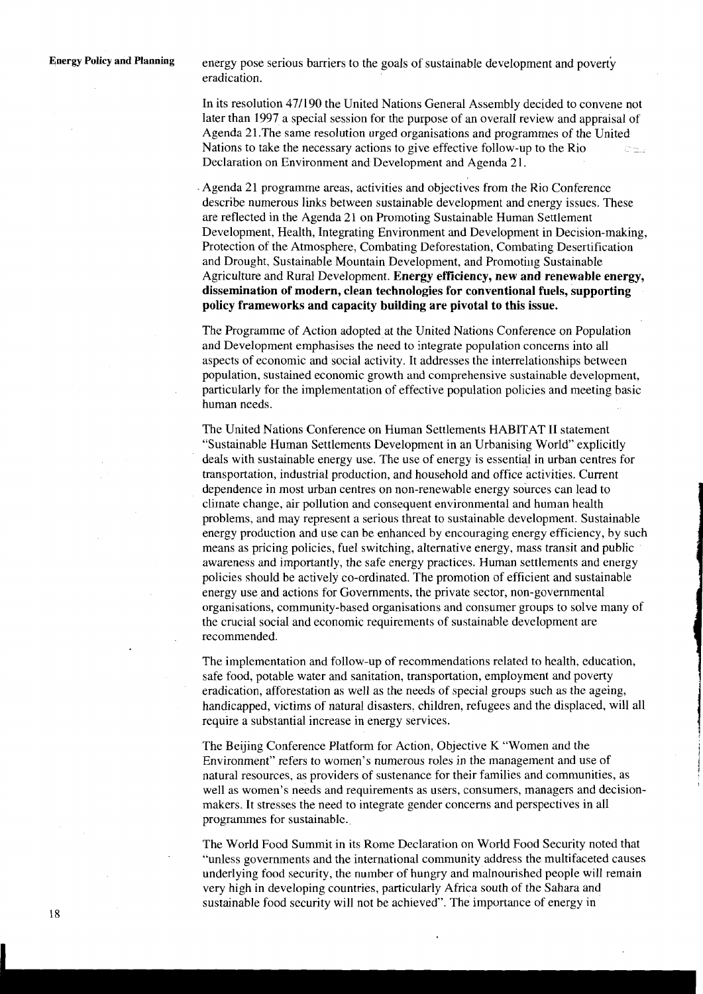**Energy Policy and Planning** energy pose serious barriers to the goals of sustainable development and poverty eradication.

> In its resolution 471190 the United Nations General Assembly decided to convene not later than 1997 a special session for the purpose of an overall review and appraisal of Agenda 21.The same resolution urged organisations and programmes of the United Nations to take the necessary actions to give effective follow-up to the Rio Declaration on Environment and Development and Agenda 21.

> Agenda 21 programme areas, activities and objectives from the Rio Conference describe numerous links between sustainable development and energy issues. These are reflected in the Agenda 21 on Promoting Sustainable Human Settlement Development, Health, Integrating Environment and Development in Decision-making, Protection of the Atmosphere, Combating Deforestation, Combating Desertification and Drought, Sustainable Mountain Development, and Promoting Sustainable Agriculture and Rural Development. **Energy efficiency, new and renewable energy, dissemination of modern, clean technologies for conventional fuels, supporting policy frameworks and capacity building are pivotal to this issue.**

> The Programme of Action adopted at the United Nations Conference on Population and Development emphasises the need to integrate population concerns into all aspects of economic and social activity. It addresses the interrelationships between population, sustained economic growth and comprehensive sustainable development, particularly for the implementation of effective population policies and meeting basic human needs.

The United Nations Conference on Human Settlements HABITAT I1 statement "Sustainable Human Settlements Development in an Urbanising World" explicitly deals with sustainable energy use. The use of energy is essential in urban centres for transportation, industrial production, and household and office activities. Current dependence in most urban centres on non-renewable energy sources can lead to climate change, air pollution and consequent environmental and human health problems, and may represent a serious threat to sustainable development. Sustainable energy production and use can be enhanced by encouraging energy efficiency, by such means as pricing policies, fuel switching, alternative energy, mass transit and public awareness and importantly, the safe energy practices. Human settlements and energy policies should be actively co-ordinated. The promotion of efficient and sustainable energy use and actions for Governments, the private sector, non-governmental organisations, community-based organisations and consumer groups to solve many of the crucial social and economic requirements of sustainable development are recommended.

The implementation and follow-up of recommendations related to health, education, safe food, potable water and sanitation, transportation, employment and poverty eradication, afforestation as well as the needs of special groups such as the ageing, handicapped, victims of natural disasters. children, refugees and the displaced, will all require a substantial increase in energy services.

The Beijing Conference Platform for Action, Objective K "Women and the Environment" refers to women's numerous roles in the management and use of natural resources, as providers of sustenance for their families and communities, as well as women's needs and requirements as users, consumers, managers and decisionmakers. It stresses the need to integrate gender concerns and perspectives in all programmes for sustainable.

The World Food Summit in its Rome Declaration on World Food Security noted that "unless governments and the international community address the multifaceted causes underlying food security, the number of hungry and malnourished people will remain very high in developing countries, particularly Africa south of the Sahara and sustainable food security will not be achieved". The importance of energy in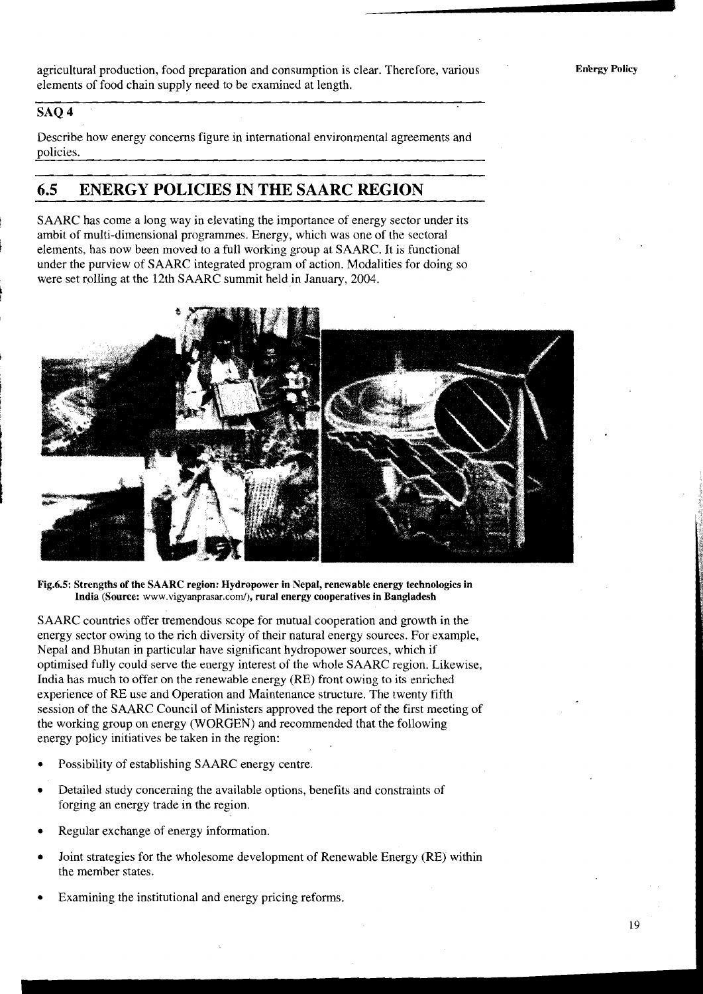agricultural production, food preparation and consumption is clear. Therefore, various elements of food chain supply need to be examined at length.

### **SAQ 4**

**k** 

Describe how energy concerns figure in international environmental agreements and policies.

# **6.5 ENERGY POLICIES IN THE SAARC REGION**

SAARC has come a long way in elevating the importance of energy sector under its ambit of multi-dimensional programmes. Energy, which was one of the sectoral **<sup>F</sup>**elements, has now been moved to a full working group at SAARC. It is functional under the purview of SAARC integrated program of action. Modalities for doing so were set rolling at the 12th SAARC summit held in January, 2004.



**Fig.6.5: Strengths of the SAARC region: Hydropower in Nepal, renewable energy technologies in**  India (Source: www.vigyanprasar.com/), rural energy cooperatives in Bangladesh

SAARC countries offer tremendous scope for mutual cooperation and growth in the energy sector owing to the rich diversity of their natural energy sources. For example, Nepal and Bhutan in particular have significant hydropower sources, which if optimised fully could serve the energy interest of the whole SAARC region. Likewise, India has much to offer on the renewable energy (RE) front owing to its enriched experience of RE use and Operation and Maintenance structure. The twenty fifth session of the SAARC Council of Ministers approved the report of the first meeting of the working group on energy (WORGEN) and recommended that the following energy policy initiatives be taken in the region:

- Possibility of establishing SAARC energy centre.
- Detailed study concerning the available options, benefits and constraints of forging an energy trade in the region.
- Regular exchange of energy information.
- Joint strategies for the wholesome development of Renewable Energy (RE) within the member states.
- Examining the institutional and energy pricing reforms.

**Enkrgy Policy** 

19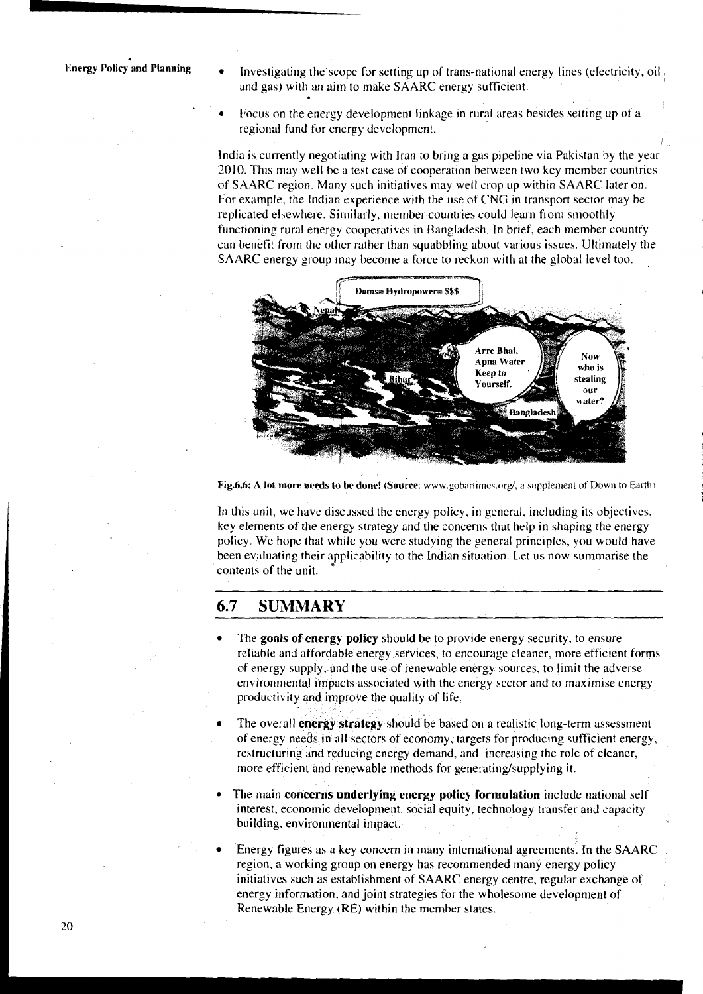**Let Frame and Planning**  $\bullet$  Investigating the scope for setting up of trans-national energy lines (electricity, oil , and gas) with an aim to make SAARC energy sufficient.

I

Focus on the energy development linkage in rural areas besides setting up of a regional fund for energy development.

India is currently negotiating with Iran to bring a gas pipeline via Pakistan by the year 2010. This may well be **il** test case of cooperation between two key member countries of SAARC region. Many such initiatives may well crop up within SAARC later on. For example, the Indian experience with the use of CNG in transport sector may be replicated elsewhere. Similarly, member countries could learn from smoothly functioning rural energy cooperatives in Bangladesh. In brief, each member country can benefit from the other rather than squabbling about various issues. Ultimately the SAARC energy group may become a force to reckon with at the global level too.



Fig.6.6: A lot more needs to be done! (Source: www.gobartimes.org/, a supplement of Down to Earth)

In this unit, we have discussed the energy policy, in general, including its objectives, key elements of the energy strategy and the concerns that help in shaping the energy policy. We hope that while you were studying the general principles, you would have been evaluating their applicability to the Indian situation. Let us now summarise the contents of the unit.

### **6.7 SUMMARY**

- The **goals of energy policy** should be to provide energy security. to ensure reliable and affordable energy services, to encourage cleaner, more efficient forms of energy supply, and the use of renewable energy sources, to limit the adverse environmental impacts associated with the energy sector and to maximise energy productivity and improve the quality of life.
- The overall **energy strategy** should be based on a realistic long-term assessment of energy needs in all sectors of economy, targets for producing sufficient energy, restructuring and reducing energy demand, and increasing the role of cleaner, more efficient and renewable methods for generating/supplying it.
- The main **concerns underlying energy policy formulation** include national self interest, economic development, social equity, technology transfer and capacity building, environmental impact.
- Energy figures as a key concern in many international agreements. In the SAARC region, a working group on energy has recommended many energy policy initiatives such as establishment of SAARC energy centre, regular exchange of energy information, and joint strategies for the wholesome development of Renewable Energy (RE) within the member states.